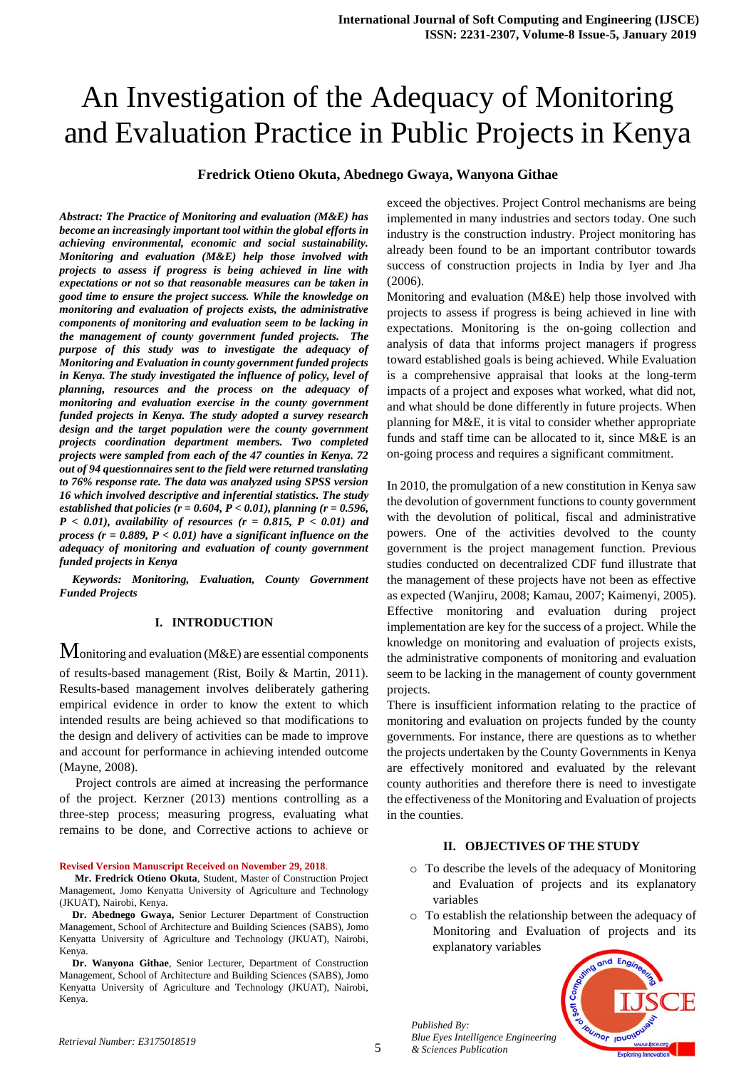# An Investigation of the Adequacy of Monitoring and Evaluation Practice in Public Projects in Kenya

## **Fredrick Otieno Okuta, Abednego Gwaya, Wanyona Githae**

*Abstract: The Practice of Monitoring and evaluation (M&E) has become an increasingly important tool within the global efforts in achieving environmental, economic and social sustainability. Monitoring and evaluation (M&E) help those involved with projects to assess if progress is being achieved in line with expectations or not so that reasonable measures can be taken in good time to ensure the project success. While the knowledge on monitoring and evaluation of projects exists, the administrative components of monitoring and evaluation seem to be lacking in the management of county government funded projects. The purpose of this study was to investigate the adequacy of Monitoring and Evaluation in county government funded projects in Kenya. The study investigated the influence of policy, level of planning, resources and the process on the adequacy of monitoring and evaluation exercise in the county government funded projects in Kenya. The study adopted a survey research design and the target population were the county government projects coordination department members. Two completed projects were sampled from each of the 47 counties in Kenya. 72 out of 94 questionnaires sent to the field were returned translating to 76% response rate. The data was analyzed using SPSS version 16 which involved descriptive and inferential statistics. The study established that policies (r = 0.604, P < 0.01), planning (r = 0.596, P < 0.01), availability of resources (r = 0.815, P < 0.01) and process (r = 0.889, P < 0.01) have a significant influence on the adequacy of monitoring and evaluation of county government funded projects in Kenya*

*Keywords: Monitoring, Evaluation, County Government Funded Projects*

#### **I. INTRODUCTION**

Monitoring and evaluation (M&E) are essential components of results-based management (Rist, Boily & Martin, 2011). Results-based management involves deliberately gathering empirical evidence in order to know the extent to which intended results are being achieved so that modifications to the design and delivery of activities can be made to improve and account for performance in achieving intended outcome (Mayne, 2008).

 Project controls are aimed at increasing the performance of the project. Kerzner (2013) mentions controlling as a three-step process; measuring progress, evaluating what remains to be done, and Corrective actions to achieve or

#### **Revised Version Manuscript Received on November 29, 2018**.

**Mr. Fredrick Otieno Okuta**, Student, Master of Construction Project Management, Jomo Kenyatta University of Agriculture and Technology (JKUAT), Nairobi, Kenya.

**Dr. Abednego Gwaya,** Senior Lecturer Department of Construction Management, School of Architecture and Building Sciences (SABS), Jomo Kenyatta University of Agriculture and Technology (JKUAT), Nairobi, Kenya.

**Dr. Wanyona Githae**, Senior Lecturer, Department of Construction Management, School of Architecture and Building Sciences (SABS), Jomo Kenyatta University of Agriculture and Technology (JKUAT), Nairobi, Kenya.

exceed the objectives. Project Control mechanisms are being implemented in many industries and sectors today. One such industry is the construction industry. Project monitoring has already been found to be an important contributor towards success of construction projects in India by Iyer and Jha (2006).

Monitoring and evaluation (M&E) help those involved with projects to assess if progress is being achieved in line with expectations. Monitoring is the on-going collection and analysis of data that informs project managers if progress toward established goals is being achieved. While Evaluation is a comprehensive appraisal that looks at the long-term impacts of a project and exposes what worked, what did not, and what should be done differently in future projects. When planning for M&E, it is vital to consider whether appropriate funds and staff time can be allocated to it, since M&E is an on-going process and requires a significant commitment.

In 2010, the promulgation of a new constitution in Kenya saw the devolution of government functions to county government with the devolution of political, fiscal and administrative powers. One of the activities devolved to the county government is the project management function. Previous studies conducted on decentralized CDF fund illustrate that the management of these projects have not been as effective as expected (Wanjiru, 2008; Kamau, 2007; Kaimenyi, 2005). Effective monitoring and evaluation during project implementation are key for the success of a project. While the knowledge on monitoring and evaluation of projects exists, the administrative components of monitoring and evaluation seem to be lacking in the management of county government projects.

There is insufficient information relating to the practice of monitoring and evaluation on projects funded by the county governments. For instance, there are questions as to whether the projects undertaken by the County Governments in Kenya are effectively monitored and evaluated by the relevant county authorities and therefore there is need to investigate the effectiveness of the Monitoring and Evaluation of projects in the counties.

#### **II. OBJECTIVES OF THE STUDY**

- o To describe the levels of the adequacy of Monitoring and Evaluation of projects and its explanatory variables
- o To establish the relationship between the adequacy of Monitoring and Evaluation of projects and its explanatory variables



*Published By: Blue Eyes Intelligence Engineering & Sciences Publication*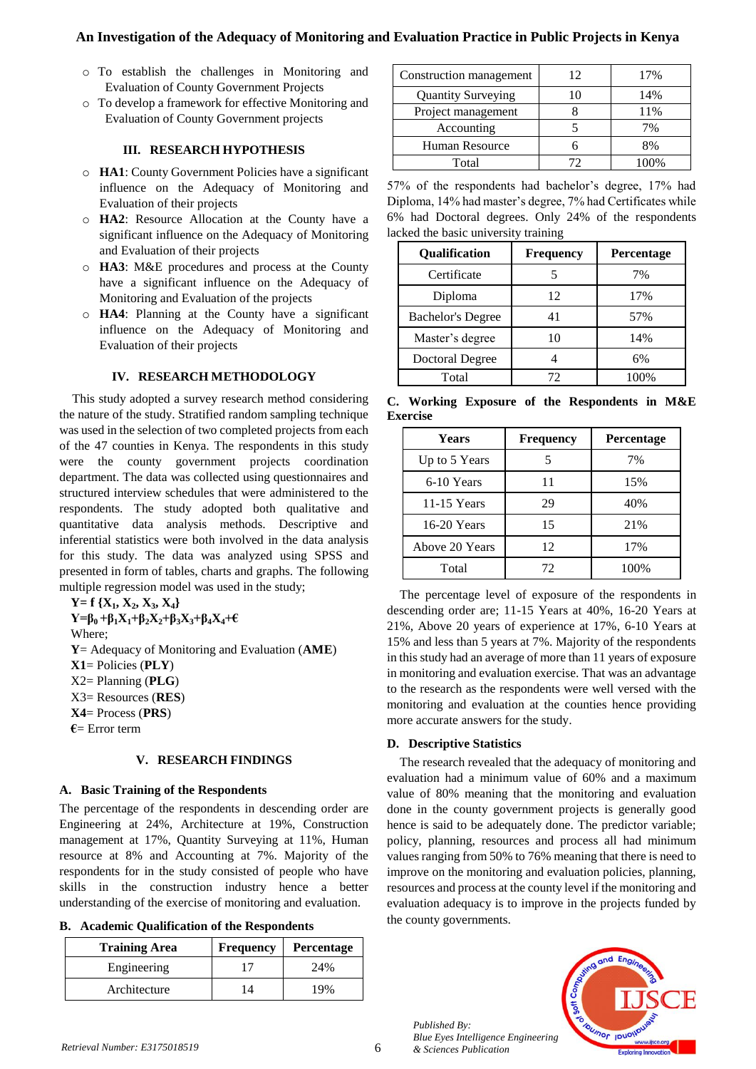## **An Investigation of the Adequacy of Monitoring and Evaluation Practice in Public Projects in Kenya**

- o To establish the challenges in Monitoring and Evaluation of County Government Projects
- o To develop a framework for effective Monitoring and Evaluation of County Government projects

## **III. RESEARCH HYPOTHESIS**

- o **HA1**: County Government Policies have a significant influence on the Adequacy of Monitoring and Evaluation of their projects
- o **HA2**: Resource Allocation at the County have a significant influence on the Adequacy of Monitoring and Evaluation of their projects
- o **HA3**: M&E procedures and process at the County have a significant influence on the Adequacy of Monitoring and Evaluation of the projects
- o **HA4**: Planning at the County have a significant influence on the Adequacy of Monitoring and Evaluation of their projects

### **IV. RESEARCH METHODOLOGY**

This study adopted a survey research method considering the nature of the study. Stratified random sampling technique was used in the selection of two completed projects from each of the 47 counties in Kenya. The respondents in this study were the county government projects coordination department. The data was collected using questionnaires and structured interview schedules that were administered to the respondents. The study adopted both qualitative and quantitative data analysis methods. Descriptive and inferential statistics were both involved in the data analysis for this study. The data was analyzed using SPSS and presented in form of tables, charts and graphs. The following multiple regression model was used in the study;

```
Y= f {X1, X2, X3, X4}
Y = \beta_0 + \beta_1 X_1 + \beta_2 X_2 + \beta_3 X_3 + \beta_4 X_4 + \epsilonWhere;
Y= Adequacy of Monitoring and Evaluation (AME)
X1= Policies (PLY)
X2= Planning (PLG)
X3= Resources (RES)
X4= Process (PRS)
€= Error term
```
#### **V. RESEARCH FINDINGS**

### **A. Basic Training of the Respondents**

The percentage of the respondents in descending order are Engineering at 24%, Architecture at 19%, Construction management at 17%, Quantity Surveying at 11%, Human resource at 8% and Accounting at 7%. Majority of the respondents for in the study consisted of people who have skills in the construction industry hence a better understanding of the exercise of monitoring and evaluation.

**B. Academic Qualification of the Respondents**

| <b>Training Area</b> | <b>Frequency</b> | <b>Percentage</b> |
|----------------------|------------------|-------------------|
| Engineering          |                  | 24%               |
| Architecture         | $\overline{4}$   | 19%               |

| Construction management   | 12 | 17%  |
|---------------------------|----|------|
| <b>Quantity Surveying</b> |    | 14%  |
| Project management        |    | 11%  |
| Accounting                |    | 7%   |
| Human Resource            |    | 8%   |
| Total                     | 72 | 100% |

57% of the respondents had bachelor's degree, 17% had Diploma, 14% had master's degree, 7% had Certificates while 6% had Doctoral degrees. Only 24% of the respondents lacked the basic university training

| Qualification            | <b>Frequency</b> | Percentage |
|--------------------------|------------------|------------|
| Certificate              |                  | 7%         |
| Diploma                  | 12               | 17%        |
| <b>Bachelor's Degree</b> | 41               | 57%        |
| Master's degree          | 10               | 14%        |
| <b>Doctoral Degree</b>   |                  | 6%         |
| Total                    | 72               | 100%       |

**C. Working Exposure of the Respondents in M&E Exercise**

| Years          | <b>Frequency</b> | Percentage |
|----------------|------------------|------------|
| Up to 5 Years  |                  | 7%         |
| 6-10 Years     | 11               | 15%        |
| 11-15 Years    | 29               | 40%        |
| 16-20 Years    | 15               | 21%        |
| Above 20 Years | 12               | 17%        |
| Total          | 72               | 100%       |

The percentage level of exposure of the respondents in descending order are; 11-15 Years at 40%, 16-20 Years at 21%, Above 20 years of experience at 17%, 6-10 Years at 15% and less than 5 years at 7%. Majority of the respondents in this study had an average of more than 11 years of exposure in monitoring and evaluation exercise. That was an advantage to the research as the respondents were well versed with the monitoring and evaluation at the counties hence providing more accurate answers for the study.

### **D. Descriptive Statistics**

The research revealed that the adequacy of monitoring and evaluation had a minimum value of 60% and a maximum value of 80% meaning that the monitoring and evaluation done in the county government projects is generally good hence is said to be adequately done. The predictor variable; policy, planning, resources and process all had minimum values ranging from 50% to 76% meaning that there is need to improve on the monitoring and evaluation policies, planning, resources and process at the county level if the monitoring and evaluation adequacy is to improve in the projects funded by the county governments.



6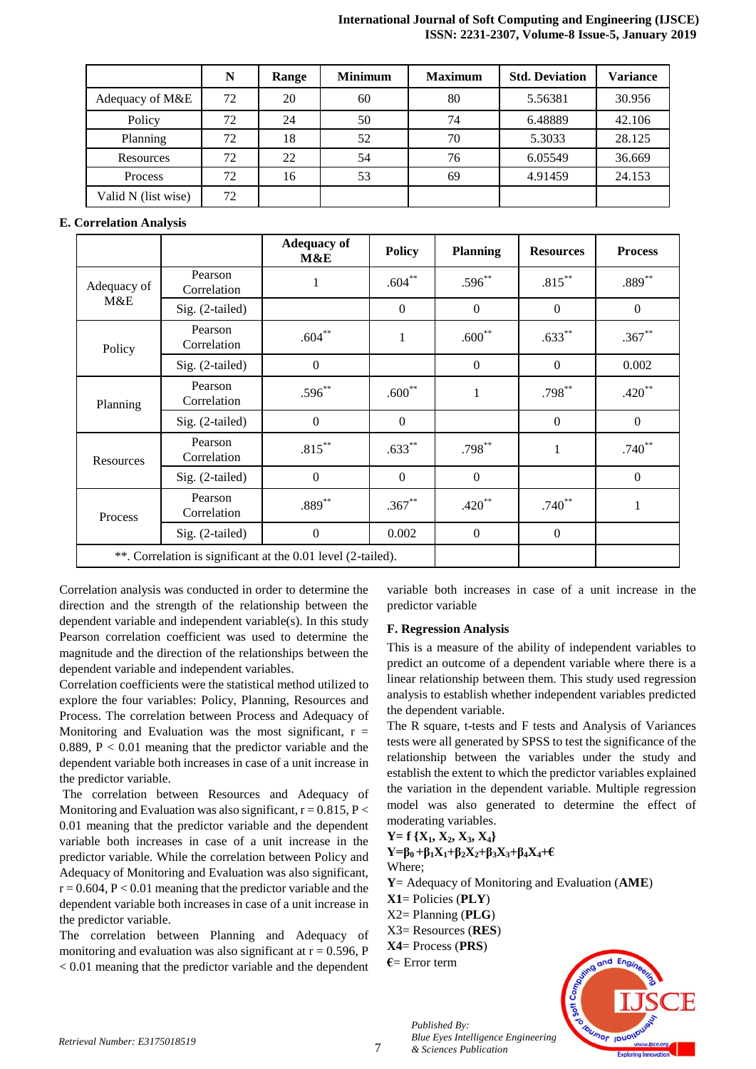#### **International Journal of Soft Computing and Engineering (IJSCE) ISSN: 2231-2307, Volume-8 Issue-5, January 2019**

|                     | N  | Range | <b>Minimum</b> | <b>Maximum</b> | <b>Std. Deviation</b> | <b>Variance</b> |
|---------------------|----|-------|----------------|----------------|-----------------------|-----------------|
| Adequacy of M&E     | 72 | 20    | 60             | 80             | 5.56381               | 30.956          |
| Policy              | 72 | 24    | 50             | 74             | 6.48889               | 42.106          |
| Planning            | 72 | 18    | 52             | 70             | 5.3033                | 28.125          |
| Resources           | 72 | 22    | 54             | 76             | 6.05549               | 36.669          |
| Process             | 72 | 16    | 53             | 69             | 4.91459               | 24.153          |
| Valid N (list wise) | 72 |       |                |                |                       |                 |

## **E. Correlation Analysis**

|             |                                                                                                 | <b>Adequacy of</b><br>M&E                                    | <b>Policy</b>  | <b>Planning</b> | <b>Resources</b> | <b>Process</b>   |
|-------------|-------------------------------------------------------------------------------------------------|--------------------------------------------------------------|----------------|-----------------|------------------|------------------|
| Adequacy of | Pearson<br>Correlation                                                                          | 1                                                            | $.604***$      | $.596***$       | $.815***$        | $.889**$         |
| M&E         | Sig. (2-tailed)                                                                                 |                                                              | $\mathbf{0}$   | $\overline{0}$  | $\overline{0}$   | $\overline{0}$   |
|             | Pearson<br>Correlation                                                                          | $.604***$                                                    | $\mathbf{1}$   | $.600**$        | $.633***$        | $.367**$         |
|             | Sig. (2-tailed)                                                                                 | $\Omega$                                                     |                | $\Omega$        | $\Omega$         | 0.002            |
|             | Pearson<br>Correlation                                                                          | $.596**$                                                     | $.600**$       | 1               | $.798***$        | $.420**$         |
|             | Policy<br>Planning<br>Sig. (2-tailed)<br>Pearson<br>Correlation<br>Resources<br>Sig. (2-tailed) | $\overline{0}$                                               | $\mathbf{0}$   |                 | $\Omega$         | $\theta$         |
|             |                                                                                                 | $.815***$                                                    | $.633***$      | $.798***$       | $\mathbf{1}$     | $.740**$         |
|             |                                                                                                 | $\boldsymbol{0}$                                             | $\overline{0}$ | $\overline{0}$  |                  | $\boldsymbol{0}$ |
| Process     | Pearson<br>Correlation                                                                          | $.889***$                                                    | $.367**$       | $.420**$        | $.740**$         | 1                |
|             | Sig. (2-tailed)                                                                                 | $\theta$                                                     | 0.002          | $\overline{0}$  | $\overline{0}$   |                  |
|             |                                                                                                 | **. Correlation is significant at the 0.01 level (2-tailed). |                |                 |                  |                  |

Correlation analysis was conducted in order to determine the direction and the strength of the relationship between the dependent variable and independent variable(s). In this study Pearson correlation coefficient was used to determine the magnitude and the direction of the relationships between the dependent variable and independent variables.

Correlation coefficients were the statistical method utilized to explore the four variables: Policy, Planning, Resources and Process. The correlation between Process and Adequacy of Monitoring and Evaluation was the most significant,  $r =$ 0.889,  $P < 0.01$  meaning that the predictor variable and the dependent variable both increases in case of a unit increase in the predictor variable.

The correlation between Resources and Adequacy of Monitoring and Evaluation was also significant,  $r = 0.815$ ,  $P <$ 0.01 meaning that the predictor variable and the dependent variable both increases in case of a unit increase in the predictor variable. While the correlation between Policy and Adequacy of Monitoring and Evaluation was also significant,  $r = 0.604$ ,  $P < 0.01$  meaning that the predictor variable and the dependent variable both increases in case of a unit increase in the predictor variable.

The correlation between Planning and Adequacy of monitoring and evaluation was also significant at  $r = 0.596$ , P < 0.01 meaning that the predictor variable and the dependent

variable both increases in case of a unit increase in the predictor variable

### **F. Regression Analysis**

This is a measure of the ability of independent variables to predict an outcome of a dependent variable where there is a linear relationship between them. This study used regression analysis to establish whether independent variables predicted the dependent variable.

The R square, t-tests and F tests and Analysis of Variances tests were all generated by SPSS to test the significance of the relationship between the variables under the study and establish the extent to which the predictor variables explained the variation in the dependent variable. Multiple regression model was also generated to determine the effect of moderating variables.

**Y= f {X1, X2, X3, X4}**  $Y = \beta_0 + \beta_1 X_1 + \beta_2 X_2 + \beta_3 X_3 + \beta_4 X_4 + \epsilon$ Where;

**Y**= Adequacy of Monitoring and Evaluation (**AME**)

**X1**= Policies (**PLY**)

X2= Planning (**PLG**)

X3= Resources (**RES**)

**X4**= Process (**PRS**)

*Published By:*

*& Sciences Publication* 

**€**= Error term

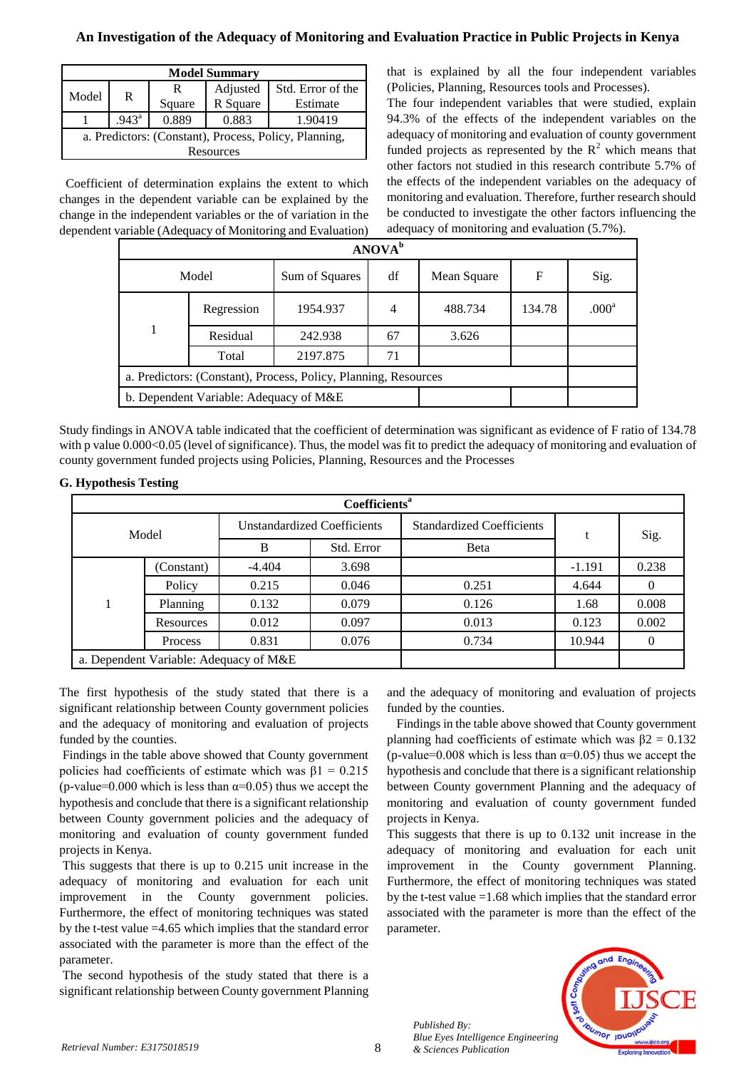## **An Investigation of the Adequacy of Monitoring and Evaluation Practice in Public Projects in Kenya**

| <b>Model Summary</b>                                  |                |        |          |                   |  |  |
|-------------------------------------------------------|----------------|--------|----------|-------------------|--|--|
| Model                                                 | R              | R      | Adjusted | Std. Error of the |  |  |
|                                                       |                | Square | R Square | Estimate          |  |  |
|                                                       | $.943^{\circ}$ | 0.889  | 0.883    | 1.90419           |  |  |
| a. Predictors: (Constant), Process, Policy, Planning, |                |        |          |                   |  |  |
| Resources                                             |                |        |          |                   |  |  |

 Coefficient of determination explains the extent to which changes in the dependent variable can be explained by the change in the independent variables or the of variation in the dependent variable (Adequacy of Monitoring and Evaluation) that is explained by all the four independent variables (Policies, Planning, Resources tools and Processes).

The four independent variables that were studied, explain 94.3% of the effects of the independent variables on the adequacy of monitoring and evaluation of county government funded projects as represented by the  $R<sup>2</sup>$  which means that other factors not studied in this research contribute 5.7% of the effects of the independent variables on the adequacy of monitoring and evaluation. Therefore, further research should be conducted to investigate the other factors influencing the adequacy of monitoring and evaluation (5.7%).

| ANOVA <sup>b</sup> |                                        |                                                                 |    |             |        |                   |  |  |  |
|--------------------|----------------------------------------|-----------------------------------------------------------------|----|-------------|--------|-------------------|--|--|--|
|                    | Model                                  | Sum of Squares                                                  | df | Mean Square | F      | Sig.              |  |  |  |
|                    | Regression                             | 1954.937                                                        | 4  | 488.734     | 134.78 | .000 <sup>a</sup> |  |  |  |
|                    | Residual                               | 242.938                                                         | 67 | 3.626       |        |                   |  |  |  |
|                    | Total                                  | 2197.875                                                        | 71 |             |        |                   |  |  |  |
|                    |                                        | a. Predictors: (Constant), Process, Policy, Planning, Resources |    |             |        |                   |  |  |  |
|                    | b. Dependent Variable: Adequacy of M&E |                                                                 |    |             |        |                   |  |  |  |

Study findings in ANOVA table indicated that the coefficient of determination was significant as evidence of F ratio of 134.78 with p value 0.000<0.05 (level of significance). Thus, the model was fit to predict the adequacy of monitoring and evaluation of county government funded projects using Policies, Planning, Resources and the Processes

### **G. Hypothesis Testing**

| Coefficients <sup>a</sup> |                                        |                                    |            |                                  |          |          |  |  |  |
|---------------------------|----------------------------------------|------------------------------------|------------|----------------------------------|----------|----------|--|--|--|
| Model                     |                                        | <b>Unstandardized Coefficients</b> |            | <b>Standardized Coefficients</b> |          | Sig.     |  |  |  |
|                           |                                        | B                                  | Std. Error | Beta                             |          |          |  |  |  |
|                           | (Constant)                             | $-4.404$                           | 3.698      |                                  | $-1.191$ | 0.238    |  |  |  |
|                           | Policy                                 | 0.215                              | 0.046      | 0.251                            | 4.644    |          |  |  |  |
|                           | Planning                               | 0.132                              | 0.079      | 0.126                            | 1.68     | 0.008    |  |  |  |
|                           | Resources                              | 0.012                              | 0.097      | 0.013                            | 0.123    | 0.002    |  |  |  |
|                           | Process                                | 0.831                              | 0.076      | 0.734                            | 10.944   | $\theta$ |  |  |  |
|                           | a. Dependent Variable: Adequacy of M&E |                                    |            |                                  |          |          |  |  |  |

The first hypothesis of the study stated that there is a significant relationship between County government policies and the adequacy of monitoring and evaluation of projects funded by the counties.

Findings in the table above showed that County government policies had coefficients of estimate which was  $\beta$ 1 = 0.215 (p-value=0.000 which is less than  $\alpha$ =0.05) thus we accept the hypothesis and conclude that there is a significant relationship between County government policies and the adequacy of monitoring and evaluation of county government funded projects in Kenya.

This suggests that there is up to 0.215 unit increase in the adequacy of monitoring and evaluation for each unit improvement in the County government policies. Furthermore, the effect of monitoring techniques was stated by the t-test value =4.65 which implies that the standard error associated with the parameter is more than the effect of the parameter.

The second hypothesis of the study stated that there is a significant relationship between County government Planning

and the adequacy of monitoring and evaluation of projects funded by the counties.

 Findings in the table above showed that County government planning had coefficients of estimate which was  $\beta$ 2 = 0.132 (p-value=0.008 which is less than  $\alpha$ =0.05) thus we accept the hypothesis and conclude that there is a significant relationship between County government Planning and the adequacy of monitoring and evaluation of county government funded projects in Kenya.

This suggests that there is up to 0.132 unit increase in the adequacy of monitoring and evaluation for each unit improvement in the County government Planning. Furthermore, the effect of monitoring techniques was stated by the t-test value =1.68 which implies that the standard error associated with the parameter is more than the effect of the parameter.



*Published By: Blue Eyes Intelligence Engineering*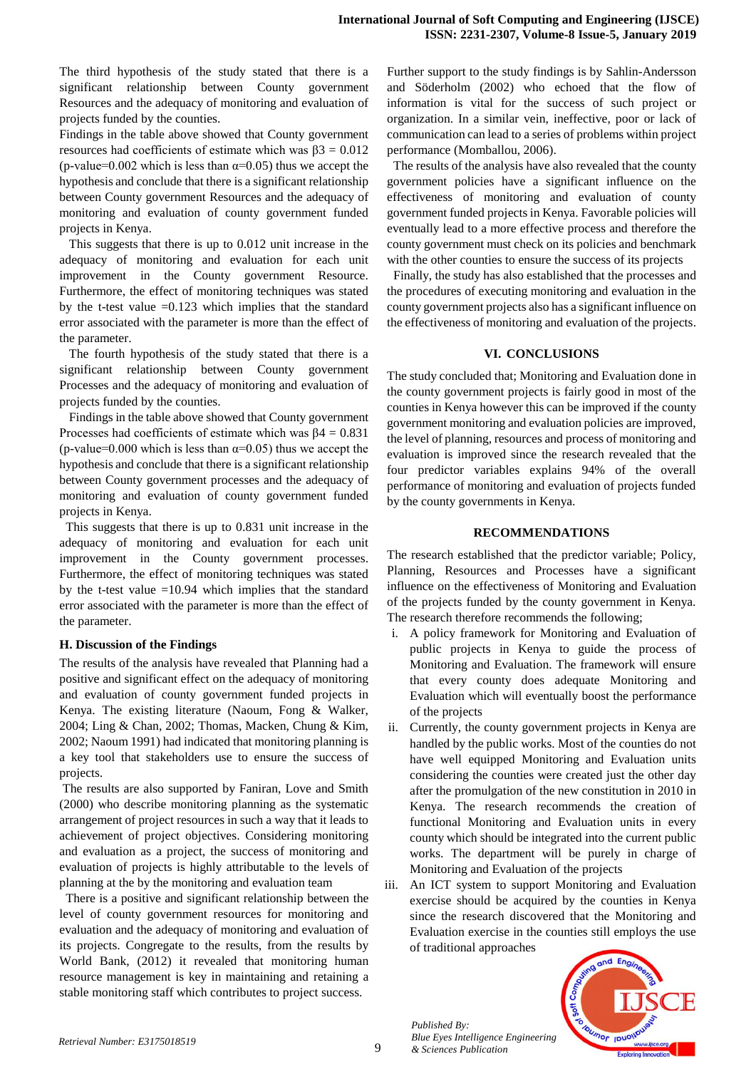The third hypothesis of the study stated that there is a significant relationship between County government Resources and the adequacy of monitoring and evaluation of projects funded by the counties.

Findings in the table above showed that County government resources had coefficients of estimate which was  $β3 = 0.012$ (p-value=0.002 which is less than  $\alpha$ =0.05) thus we accept the hypothesis and conclude that there is a significant relationship between County government Resources and the adequacy of monitoring and evaluation of county government funded projects in Kenya.

 This suggests that there is up to 0.012 unit increase in the adequacy of monitoring and evaluation for each unit improvement in the County government Resource. Furthermore, the effect of monitoring techniques was stated by the t-test value  $=0.123$  which implies that the standard error associated with the parameter is more than the effect of the parameter.

 The fourth hypothesis of the study stated that there is a significant relationship between County government Processes and the adequacy of monitoring and evaluation of projects funded by the counties.

 Findings in the table above showed that County government Processes had coefficients of estimate which was  $\beta$ 4 = 0.831 (p-value=0.000 which is less than  $\alpha$ =0.05) thus we accept the hypothesis and conclude that there is a significant relationship between County government processes and the adequacy of monitoring and evaluation of county government funded projects in Kenya.

 This suggests that there is up to 0.831 unit increase in the adequacy of monitoring and evaluation for each unit improvement in the County government processes. Furthermore, the effect of monitoring techniques was stated by the t-test value =10.94 which implies that the standard error associated with the parameter is more than the effect of the parameter.

### **H. Discussion of the Findings**

The results of the analysis have revealed that Planning had a positive and significant effect on the adequacy of monitoring and evaluation of county government funded projects in Kenya. The existing literature (Naoum, Fong & Walker, 2004; Ling & Chan, 2002; Thomas, Macken, Chung & Kim, 2002; Naoum 1991) had indicated that monitoring planning is a key tool that stakeholders use to ensure the success of projects.

The results are also supported by Faniran, Love and Smith (2000) who describe monitoring planning as the systematic arrangement of project resources in such a way that it leads to achievement of project objectives. Considering monitoring and evaluation as a project, the success of monitoring and evaluation of projects is highly attributable to the levels of planning at the by the monitoring and evaluation team

 There is a positive and significant relationship between the level of county government resources for monitoring and evaluation and the adequacy of monitoring and evaluation of its projects. Congregate to the results, from the results by World Bank, (2012) it revealed that monitoring human resource management is key in maintaining and retaining a stable monitoring staff which contributes to project success.

Further support to the study findings is by Sahlin-Andersson and Söderholm (2002) who echoed that the flow of information is vital for the success of such project or organization. In a similar vein, ineffective, poor or lack of communication can lead to a series of problems within project performance (Momballou, 2006).

 The results of the analysis have also revealed that the county government policies have a significant influence on the effectiveness of monitoring and evaluation of county government funded projects in Kenya. Favorable policies will eventually lead to a more effective process and therefore the county government must check on its policies and benchmark with the other counties to ensure the success of its projects

 Finally, the study has also established that the processes and the procedures of executing monitoring and evaluation in the county government projects also has a significant influence on the effectiveness of monitoring and evaluation of the projects.

### **VI. CONCLUSIONS**

The study concluded that; Monitoring and Evaluation done in the county government projects is fairly good in most of the counties in Kenya however this can be improved if the county government monitoring and evaluation policies are improved, the level of planning, resources and process of monitoring and evaluation is improved since the research revealed that the four predictor variables explains 94% of the overall performance of monitoring and evaluation of projects funded by the county governments in Kenya.

#### **RECOMMENDATIONS**

The research established that the predictor variable; Policy, Planning, Resources and Processes have a significant influence on the effectiveness of Monitoring and Evaluation of the projects funded by the county government in Kenya. The research therefore recommends the following;

- i. A policy framework for Monitoring and Evaluation of public projects in Kenya to guide the process of Monitoring and Evaluation. The framework will ensure that every county does adequate Monitoring and Evaluation which will eventually boost the performance of the projects
- ii. Currently, the county government projects in Kenya are handled by the public works. Most of the counties do not have well equipped Monitoring and Evaluation units considering the counties were created just the other day after the promulgation of the new constitution in 2010 in Kenya. The research recommends the creation of functional Monitoring and Evaluation units in every county which should be integrated into the current public works. The department will be purely in charge of Monitoring and Evaluation of the projects
- iii. An ICT system to support Monitoring and Evaluation exercise should be acquired by the counties in Kenya since the research discovered that the Monitoring and Evaluation exercise in the counties still employs the use of traditional approaches